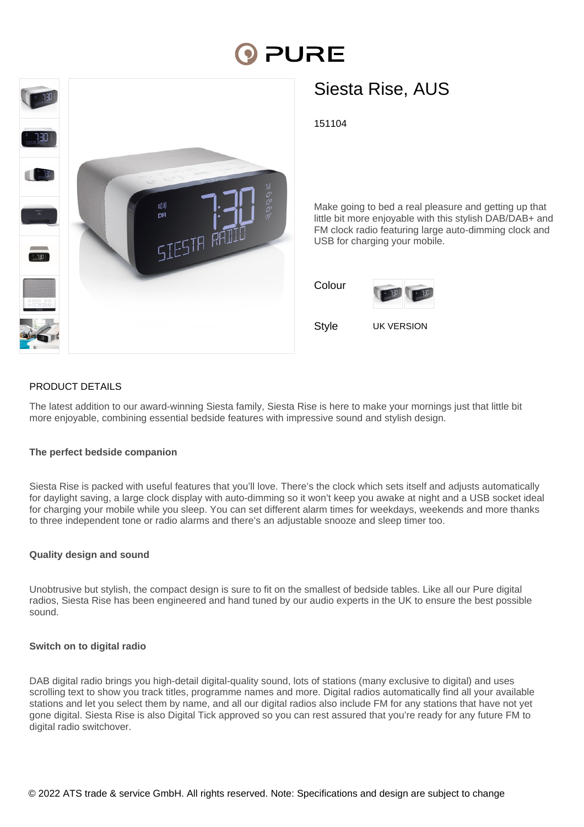# **PURE**



# Siesta Rise, AUS

151104

Make going to bed a real pleasure and getting up that little bit more enjoyable with this stylish DAB/DAB+ and FM clock radio featuring large auto-dimming clock and USB for charging your mobile.

| Colour |            |
|--------|------------|
| Stvle  | UK VERSION |



### PRODUCT DETAILS

The latest addition to our award-winning Siesta family, Siesta Rise is here to make your mornings just that little bit more enjoyable, combining essential bedside features with impressive sound and stylish design.

#### **The perfect bedside companion**

Siesta Rise is packed with useful features that you'll love. There's the clock which sets itself and adjusts automatically for daylight saving, a large clock display with auto-dimming so it won't keep you awake at night and a USB socket ideal for charging your mobile while you sleep. You can set different alarm times for weekdays, weekends and more thanks to three independent tone or radio alarms and there's an adjustable snooze and sleep timer too.

#### **Quality design and sound**

Unobtrusive but stylish, the compact design is sure to fit on the smallest of bedside tables. Like all our Pure digital radios, Siesta Rise has been engineered and hand tuned by our audio experts in the UK to ensure the best possible sound.

#### **Switch on to digital radio**

DAB digital radio brings you high-detail digital-quality sound, lots of stations (many exclusive to digital) and uses scrolling text to show you track titles, programme names and more. Digital radios automatically find all your available stations and let you select them by name, and all our digital radios also include FM for any stations that have not yet gone digital. Siesta Rise is also Digital Tick approved so you can rest assured that you're ready for any future FM to digital radio switchover.